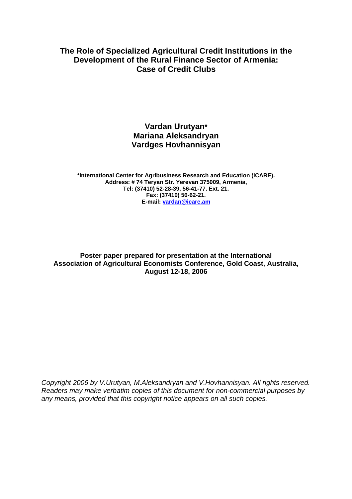# **The Role of Specialized Agricultural Credit Institutions in the Development of the Rural Finance Sector of Armenia: Case of Credit Clubs**

# **Vardan Urutyan\* Mariana Aleksandryan Vardges Hovhannisyan**

**\*International Center for Agribusiness Research and Education (ICARE). Address: # 74 Teryan Str. Yerevan 375009, Armenia, Tel: (37410) 52-28-39, 56-41-77. Ext. 21. Fax: (37410) 56-62-21. E-mail: vardan@icare.am**

**Poster paper prepared for presentation at the International Association of Agricultural Economists Conference, Gold Coast, Australia, August 12-18, 2006** 

*Copyright 2006 by V.Urutyan, M.Aleksandryan and V.Hovhannisyan. All rights reserved. Readers may make verbatim copies of this document for non-commercial purposes by any means, provided that this copyright notice appears on all such copies.*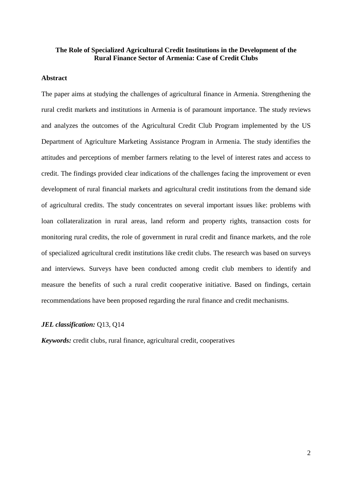## **The Role of Specialized Agricultural Credit Institutions in the Development of the Rural Finance Sector of Armenia: Case of Credit Clubs**

## **Abstract**

The paper aims at studying the challenges of agricultural finance in Armenia. Strengthening the rural credit markets and institutions in Armenia is of paramount importance. The study reviews and analyzes the outcomes of the Agricultural Credit Club Program implemented by the US Department of Agriculture Marketing Assistance Program in Armenia. The study identifies the attitudes and perceptions of member farmers relating to the level of interest rates and access to credit. The findings provided clear indications of the challenges facing the improvement or even development of rural financial markets and agricultural credit institutions from the demand side of agricultural credits. The study concentrates on several important issues like: problems with loan collateralization in rural areas, land reform and property rights, transaction costs for monitoring rural credits, the role of government in rural credit and finance markets, and the role of specialized agricultural credit institutions like credit clubs. The research was based on surveys and interviews. Surveys have been conducted among credit club members to identify and measure the benefits of such a rural credit cooperative initiative. Based on findings, certain recommendations have been proposed regarding the rural finance and credit mechanisms.

## *JEL classification:* Q13, Q14

*Keywords:* credit clubs, rural finance, agricultural credit, cooperatives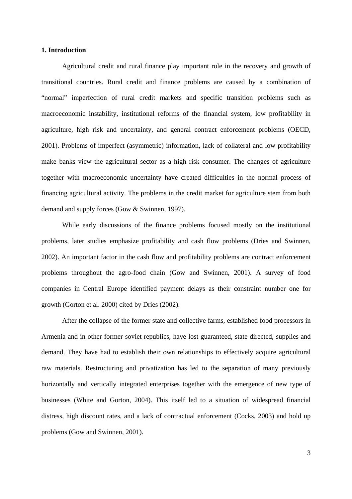## **1. Introduction**

Agricultural credit and rural finance play important role in the recovery and growth of transitional countries. Rural credit and finance problems are caused by a combination of "normal" imperfection of rural credit markets and specific transition problems such as macroeconomic instability, institutional reforms of the financial system, low profitability in agriculture, high risk and uncertainty, and general contract enforcement problems (OECD, 2001). Problems of imperfect (asymmetric) information, lack of collateral and low profitability make banks view the agricultural sector as a high risk consumer. The changes of agriculture together with macroeconomic uncertainty have created difficulties in the normal process of financing agricultural activity. The problems in the credit market for agriculture stem from both demand and supply forces (Gow & Swinnen, 1997).

While early discussions of the finance problems focused mostly on the institutional problems, later studies emphasize profitability and cash flow problems (Dries and Swinnen, 2002). An important factor in the cash flow and profitability problems are contract enforcement problems throughout the agro-food chain (Gow and Swinnen, 2001). A survey of food companies in Central Europe identified payment delays as their constraint number one for growth (Gorton et al. 2000) cited by Dries (2002).

After the collapse of the former state and collective farms, established food processors in Armenia and in other former soviet republics, have lost guaranteed, state directed, supplies and demand. They have had to establish their own relationships to effectively acquire agricultural raw materials. Restructuring and privatization has led to the separation of many previously horizontally and vertically integrated enterprises together with the emergence of new type of businesses (White and Gorton, 2004). This itself led to a situation of widespread financial distress, high discount rates, and a lack of contractual enforcement (Cocks, 2003) and hold up problems (Gow and Swinnen, 2001).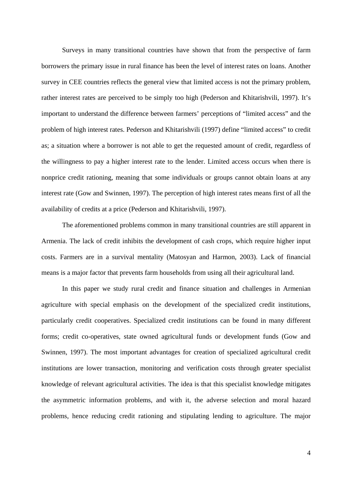Surveys in many transitional countries have shown that from the perspective of farm borrowers the primary issue in rural finance has been the level of interest rates on loans. Another survey in CEE countries reflects the general view that limited access is not the primary problem, rather interest rates are perceived to be simply too high (Pederson and Khitarishvili, 1997). It's important to understand the difference between farmers' perceptions of "limited access" and the problem of high interest rates. Pederson and Khitarishvili (1997) define "limited access" to credit as; a situation where a borrower is not able to get the requested amount of credit, regardless of the willingness to pay a higher interest rate to the lender. Limited access occurs when there is nonprice credit rationing, meaning that some individuals or groups cannot obtain loans at any interest rate (Gow and Swinnen, 1997). The perception of high interest rates means first of all the availability of credits at a price (Pederson and Khitarishvili, 1997).

The aforementioned problems common in many transitional countries are still apparent in Armenia. The lack of credit inhibits the development of cash crops, which require higher input costs. Farmers are in a survival mentality (Matosyan and Harmon, 2003). Lack of financial means is a major factor that prevents farm households from using all their agricultural land.

In this paper we study rural credit and finance situation and challenges in Armenian agriculture with special emphasis on the development of the specialized credit institutions, particularly credit cooperatives. Specialized credit institutions can be found in many different forms; credit co-operatives, state owned agricultural funds or development funds (Gow and Swinnen, 1997). The most important advantages for creation of specialized agricultural credit institutions are lower transaction, monitoring and verification costs through greater specialist knowledge of relevant agricultural activities. The idea is that this specialist knowledge mitigates the asymmetric information problems, and with it, the adverse selection and moral hazard problems, hence reducing credit rationing and stipulating lending to agriculture. The major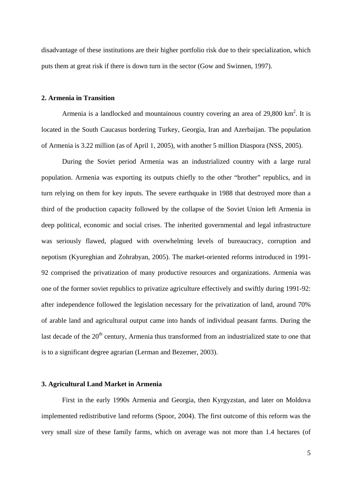disadvantage of these institutions are their higher portfolio risk due to their specialization, which puts them at great risk if there is down turn in the sector (Gow and Swinnen, 1997).

## **2. Armenia in Transition**

Armenia is a landlocked and mountainous country covering an area of  $29,800 \text{ km}^2$ . It is located in the South Caucasus bordering Turkey, Georgia, Iran and Azerbaijan. The population of Armenia is 3.22 million (as of April 1, 2005), with another 5 million Diaspora (NSS, 2005).

During the Soviet period Armenia was an industrialized country with a large rural population. Armenia was exporting its outputs chiefly to the other "brother" republics, and in turn relying on them for key inputs. The severe earthquake in 1988 that destroyed more than a third of the production capacity followed by the collapse of the Soviet Union left Armenia in deep political, economic and social crises. The inherited governmental and legal infrastructure was seriously flawed, plagued with overwhelming levels of bureaucracy, corruption and nepotism (Kyureghian and Zohrabyan, 2005). The market-oriented reforms introduced in 1991- 92 comprised the privatization of many productive resources and organizations. Armenia was one of the former soviet republics to privatize agriculture effectively and swiftly during 1991-92: after independence followed the legislation necessary for the privatization of land, around 70% of arable land and agricultural output came into hands of individual peasant farms. During the last decade of the  $20<sup>th</sup>$  century, Armenia thus transformed from an industrialized state to one that is to a significant degree agrarian (Lerman and Bezemer, 2003).

#### **3. Agricultural Land Market in Armenia**

First in the early 1990s Armenia and Georgia, then Kyrgyzstan, and later on Moldova implemented redistributive land reforms (Spoor, 2004). The first outcome of this reform was the very small size of these family farms, which on average was not more than 1.4 hectares (of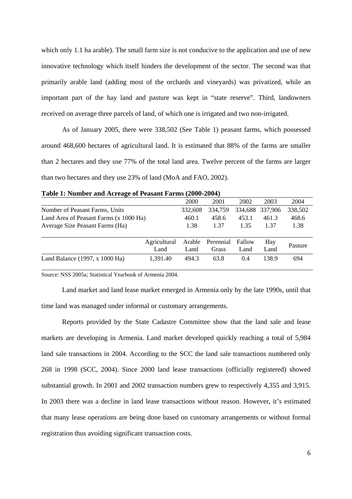which only 1.1 ha arable). The small farm size is not conducive to the application and use of new innovative technology which itself hinders the development of the sector. The second was that primarily arable land (adding most of the orchards and vineyards) was privatized, while an important part of the hay land and pasture was kept in "state reserve". Third, landowners received on average three parcels of land, of which one is irrigated and two non-irrigated.

As of January 2005, there were 338,502 (See Table 1) peasant farms, which possessed around 468,600 hectares of agricultural land. It is estimated that 88% of the farms are smaller than 2 hectares and they use 77% of the total land area. Twelve percent of the farms are larger than two hectares and they use 23% of land (MoA and FAO, 2002).

|                                              | 2000           | 2001               | 2002           | 2003            | 2004    |
|----------------------------------------------|----------------|--------------------|----------------|-----------------|---------|
| Number of Peasant Farms, Units               | 332.608        | 334,759            |                | 334,688 337,906 | 338,502 |
| Land Area of Peasant Farms (x 1000 Ha)       | 460.1          | 458.6              | 453.1          | 461.3           | 468.6   |
| Average Size Peasant Farms (Ha)              | 1.38           | 1.37               | 1.35           | 1.37            | 1.38    |
| Agricultural<br>Land                         | Arable<br>Land | Perennial<br>Grass | Fallow<br>Land | Hay<br>Land     | Pasture |
| 1,391.40<br>Land Balance $(1997, x 1000$ Ha) | 494.3          | 63.8               | 0.4            | 138.9           | 694     |

| Table 1: Number and Acreage of Peasant Farms (2000-2004) |
|----------------------------------------------------------|
|----------------------------------------------------------|

Source: NSS 2005a; Statistical Yearbook of Armenia 2004.

Land market and land lease market emerged in Armenia only by the late 1990s, until that time land was managed under informal or customary arrangements.

Reports provided by the State Cadastre Committee show that the land sale and lease markets are developing in Armenia. Land market developed quickly reaching a total of 5,984 land sale transactions in 2004. According to the SCC the land sale transactions numbered only 268 in 1998 (SCC, 2004). Since 2000 land lease transactions (officially registered) showed substantial growth. In 2001 and 2002 transaction numbers grew to respectively 4,355 and 3,915. In 2003 there was a decline in land lease transactions without reason. However, it's estimated that many lease operations are being done based on customary arrangements or without formal registration thus avoiding significant transaction costs.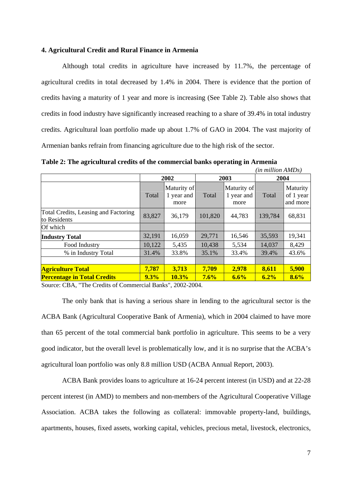## **4. Agricultural Credit and Rural Finance in Armenia**

Although total credits in agriculture have increased by 11.7%, the percentage of agricultural credits in total decreased by 1.4% in 2004. There is evidence that the portion of credits having a maturity of 1 year and more is increasing (See Table 2). Table also shows that credits in food industry have significantly increased reaching to a share of 39.4% in total industry credits. Agricultural loan portfolio made up about 1.7% of GAO in 2004. The vast majority of Armenian banks refrain from financing agriculture due to the high risk of the sector.

**Table 2: The agricultural credits of the commercial banks operating in Armenia** 

|                                                      | (in million AMDs) |                                   |         |                                   |         |                                   |
|------------------------------------------------------|-------------------|-----------------------------------|---------|-----------------------------------|---------|-----------------------------------|
|                                                      | 2002              |                                   | 2003    |                                   | 2004    |                                   |
|                                                      | Total             | Maturity of<br>1 year and<br>more | Total   | Maturity of<br>1 year and<br>more | Total   | Maturity<br>of 1 year<br>and more |
| Total Credits, Leasing and Factoring<br>to Residents | 83,827            | 36,179                            | 101,820 | 44,783                            | 139,784 | 68,831                            |
| Of which                                             |                   |                                   |         |                                   |         |                                   |
| <b>Industry Total</b>                                | 32,191            | 16,059                            | 29,771  | 16,546                            | 35,593  | 19,341                            |
| Food Industry                                        | 10,122            | 5,435                             | 10,438  | 5,534                             | 14,037  | 8,429                             |
| % in Industry Total                                  | 31.4%             | 33.8%                             | 35.1%   | 33.4%                             | 39.4%   | 43.6%                             |
| <b>Agriculture Total</b>                             | 7,787             | 3,713                             | 7,709   | 2,978                             | 8,611   | 5,900                             |
| <b>Percentage in Total Credits</b>                   | 9.3%              | 10.3%                             | 7.6%    | 6.6%                              | 6.2%    | 8.6%                              |

Source: CBA, "The Credits of Commercial Banks", 2002-2004.

The only bank that is having a serious share in lending to the agricultural sector is the ACBA Bank (Agricultural Cooperative Bank of Armenia), which in 2004 claimed to have more than 65 percent of the total commercial bank portfolio in agriculture. This seems to be a very good indicator, but the overall level is problematically low, and it is no surprise that the ACBA's agricultural loan portfolio was only 8.8 million USD (ACBA Annual Report, 2003).

ACBA Bank provides loans to agriculture at 16-24 percent interest (in USD) and at 22-28 percent interest (in AMD) to members and non-members of the Agricultural Cooperative Village Association. ACBA takes the following as collateral: immovable property-land, buildings, apartments, houses, fixed assets, working capital, vehicles, precious metal, livestock, electronics,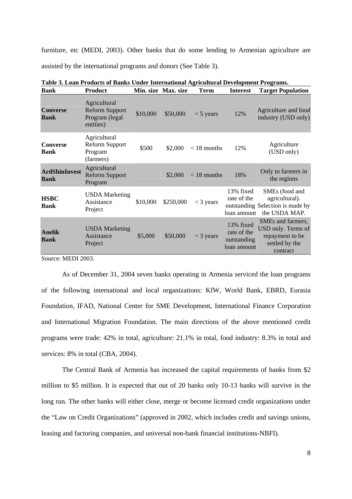furniture, etc (MEDI, 2003). Other banks that do some lending to Armenian agriculture are assisted by the international programs and donors (See Table 3).

| <b>Bank</b>                         | noun I Found of Bunns Chuvi International Instrumental Beveropment I Foundation<br><b>Product</b> |          | Min. size Max. size | <b>Term</b>   | <b>Interest</b>                                        | <b>Target Population</b>                                                                 |
|-------------------------------------|---------------------------------------------------------------------------------------------------|----------|---------------------|---------------|--------------------------------------------------------|------------------------------------------------------------------------------------------|
| <b>Converse</b><br><b>Bank</b>      | Agricultural<br><b>Reform Support</b><br>Program (legal<br>entities)                              | \$10,000 | \$50,000            | $<$ 5 years   | 12%                                                    | Agriculture and food<br>industry (USD only)                                              |
| <b>Converse</b><br><b>Bank</b>      | Agricultural<br><b>Reform Support</b><br>Program<br>(farmers)                                     | \$500    | \$2,000             | $<$ 18 months | 12%                                                    | Agriculture<br>(USD only)                                                                |
| <b>ArdShinInvest</b><br><b>Bank</b> | Agricultural<br><b>Reform Support</b><br>Program                                                  |          | \$2,000             | $<$ 18 months | 18%                                                    | Only to farmers in<br>the regions                                                        |
| <b>HSBC</b><br><b>Bank</b>          | <b>USDA</b> Marketing<br>Assistance<br>Project                                                    | \$10,000 | \$250,000           | $<$ 3 years   | 13% fixed<br>rate of the<br>loan amount                | SMEs (food and<br>agricultural).<br>outstanding Selection is made by<br>the USDA MAP.    |
| <b>Anelik</b><br><b>Bank</b>        | <b>USDA</b> Marketing<br>Assistance<br>Project                                                    | \$5,000  | \$50,000            | $<$ 3 years   | 13% fixed<br>rate of the<br>outstanding<br>loan amount | SMEs and farmers,<br>USD only. Terms of<br>repayment to be<br>settled by the<br>contract |

|  |  |  |  | Table 3. Loan Products of Banks Under International Agricultural Development Programs. |  |
|--|--|--|--|----------------------------------------------------------------------------------------|--|
|  |  |  |  |                                                                                        |  |

Source: MEDI 2003.

As of December 31, 2004 seven banks operating in Armenia serviced the loan programs of the following international and local organizations: KfW, World Bank, EBRD, Eurasia Foundation, IFAD, National Center for SME Development, International Finance Corporation and International Migration Foundation. The main directions of the above mentioned credit programs were trade: 42% in total, agriculture: 21.1% in total, food industry: 8.3% in total and services: 8% in total (CBA, 2004).

The Central Bank of Armenia has increased the capital requirements of banks from \$2 million to \$5 million. It is expected that out of 20 banks only 10-13 banks will survive in the long run. The other banks will either close, merge or become licensed credit organizations under the "Law on Credit Organizations" (approved in 2002, which includes credit and savings unions, leasing and factoring companies, and universal non-bank financial institutions-NBFI).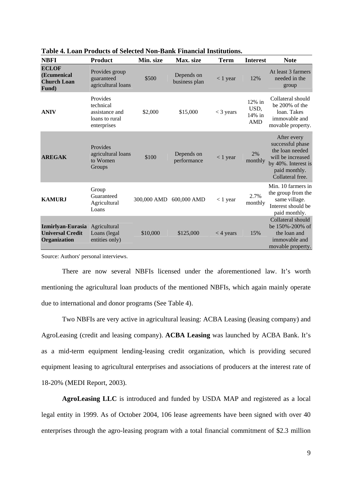| <b>NBFI</b>                                                  | <b>Product</b>                                                           | Min. size   | Max. size                   | Term        | <b>Interest</b>                              | <b>Note</b>                                                                                                                         |
|--------------------------------------------------------------|--------------------------------------------------------------------------|-------------|-----------------------------|-------------|----------------------------------------------|-------------------------------------------------------------------------------------------------------------------------------------|
| <b>ECLOF</b><br>(Ecumenical<br><b>Church Loan</b><br>Fund)   | Provides group<br>guaranteed<br>agricultural loans                       | \$500       | Depends on<br>business plan | $<$ 1 year  | 12%                                          | At least 3 farmers<br>needed in the<br>group                                                                                        |
| <b>ANIV</b>                                                  | Provides<br>technical<br>assistance and<br>loans to rural<br>enterprises | \$2,000     | \$15,000                    | $<$ 3 years | $12\%$ in<br>USD,<br>$14\%$ in<br><b>AMD</b> | Collateral should<br>be $200\%$ of the<br>loan. Takes<br>immovable and<br>movable property.                                         |
| <b>AREGAK</b>                                                | Provides<br>agricultural loans<br>to Women<br>Groups                     | \$100       | Depends on<br>performance   | $< 1$ year  | 2%<br>monthly                                | After every<br>successful phase<br>the loan needed<br>will be increased<br>by 40%. Interest is<br>paid monthly.<br>Collateral free. |
| <b>KAMURJ</b>                                                | Group<br>Guaranteed<br>Agricultural<br>Loans                             | 300,000 AMD | 600,000 AMD                 | $< 1$ year  | 2.7%<br>monthly                              | Min. 10 farmers in<br>the group from the<br>same village.<br>Interest should be<br>paid monthly.                                    |
| Izmirlyan-Eurasia<br><b>Universal Credit</b><br>Organization | Agricultural<br>Loans (legal<br>entities only)                           | \$10,000    | \$125,000                   | $<$ 4 years | 15%                                          | Collateral should<br>be 150%-200% of<br>the loan and<br>immovable and<br>movable property.                                          |

**Table 4. Loan Products of Selected Non-Bank Financial Institutions.** 

Source: Authors' personal interviews.

There are now several NBFIs licensed under the aforementioned law. It's worth mentioning the agricultural loan products of the mentioned NBFIs, which again mainly operate due to international and donor programs (See Table 4).

Two NBFIs are very active in agricultural leasing: ACBA Leasing (leasing company) and AgroLeasing (credit and leasing company). **ACBA Leasing** was launched by ACBA Bank. It's as a mid-term equipment lending-leasing credit organization, which is providing secured equipment leasing to agricultural enterprises and associations of producers at the interest rate of 18-20% (MEDI Report, 2003).

**AgroLeasing LLC** is introduced and funded by USDA MAP and registered as a local legal entity in 1999. As of October 2004, 106 lease agreements have been signed with over 40 enterprises through the agro-leasing program with a total financial commitment of \$2.3 million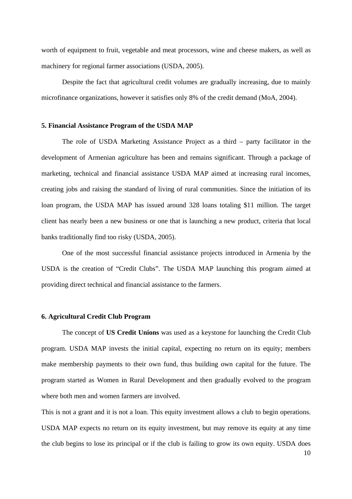worth of equipment to fruit, vegetable and meat processors, wine and cheese makers, as well as machinery for regional farmer associations (USDA, 2005).

Despite the fact that agricultural credit volumes are gradually increasing, due to mainly microfinance organizations, however it satisfies only 8% of the credit demand (MoA, 2004).

#### **5. Financial Assistance Program of the USDA MAP**

The role of USDA Marketing Assistance Project as a third – party facilitator in the development of Armenian agriculture has been and remains significant. Through a package of marketing, technical and financial assistance USDA MAP aimed at increasing rural incomes, creating jobs and raising the standard of living of rural communities. Since the initiation of its loan program, the USDA MAP has issued around 328 loans totaling \$11 million. The target client has nearly been a new business or one that is launching a new product, criteria that local banks traditionally find too risky (USDA, 2005).

One of the most successful financial assistance projects introduced in Armenia by the USDA is the creation of "Credit Clubs". The USDA MAP launching this program aimed at providing direct technical and financial assistance to the farmers.

#### **6. Agricultural Credit Club Program**

The concept of **US Credit Unions** was used as a keystone for launching the Credit Club program. USDA MAP invests the initial capital, expecting no return on its equity; members make membership payments to their own fund, thus building own capital for the future. The program started as Women in Rural Development and then gradually evolved to the program where both men and women farmers are involved.

This is not a grant and it is not a loan. This equity investment allows a club to begin operations. USDA MAP expects no return on its equity investment, but may remove its equity at any time the club begins to lose its principal or if the club is failing to grow its own equity. USDA does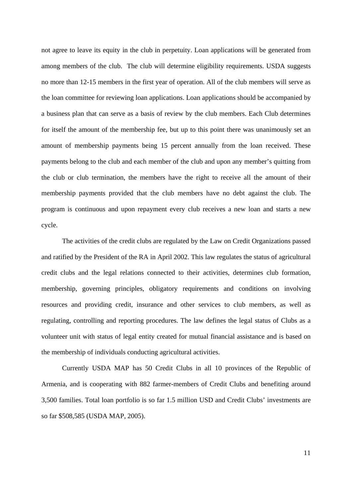not agree to leave its equity in the club in perpetuity. Loan applications will be generated from among members of the club. The club will determine eligibility requirements. USDA suggests no more than 12-15 members in the first year of operation. All of the club members will serve as the loan committee for reviewing loan applications. Loan applications should be accompanied by a business plan that can serve as a basis of review by the club members. Each Club determines for itself the amount of the membership fee, but up to this point there was unanimously set an amount of membership payments being 15 percent annually from the loan received. These payments belong to the club and each member of the club and upon any member's quitting from the club or club termination, the members have the right to receive all the amount of their membership payments provided that the club members have no debt against the club. The program is continuous and upon repayment every club receives a new loan and starts a new cycle.

The activities of the credit clubs are regulated by the Law on Credit Organizations passed and ratified by the President of the RA in April 2002. This law regulates the status of agricultural credit clubs and the legal relations connected to their activities, determines club formation, membership, governing principles, obligatory requirements and conditions on involving resources and providing credit, insurance and other services to club members, as well as regulating, controlling and reporting procedures. The law defines the legal status of Clubs as a volunteer unit with status of legal entity created for mutual financial assistance and is based on the membership of individuals conducting agricultural activities.

Currently USDA MAP has 50 Credit Clubs in all 10 provinces of the Republic of Armenia, and is cooperating with 882 farmer-members of Credit Clubs and benefiting around 3,500 families. Total loan portfolio is so far 1.5 million USD and Credit Clubs' investments are so far \$508,585 (USDA MAP, 2005).

11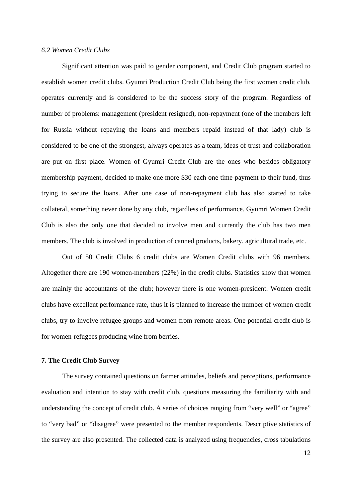## *6.2 Women Credit Clubs*

Significant attention was paid to gender component, and Credit Club program started to establish women credit clubs. Gyumri Production Credit Club being the first women credit club, operates currently and is considered to be the success story of the program. Regardless of number of problems: management (president resigned), non-repayment (one of the members left for Russia without repaying the loans and members repaid instead of that lady) club is considered to be one of the strongest, always operates as a team, ideas of trust and collaboration are put on first place. Women of Gyumri Credit Club are the ones who besides obligatory membership payment, decided to make one more \$30 each one time-payment to their fund, thus trying to secure the loans. After one case of non-repayment club has also started to take collateral, something never done by any club, regardless of performance. Gyumri Women Credit Club is also the only one that decided to involve men and currently the club has two men members. The club is involved in production of canned products, bakery, agricultural trade, etc.

Out of 50 Credit Clubs 6 credit clubs are Women Credit clubs with 96 members. Altogether there are 190 women-members (22%) in the credit clubs. Statistics show that women are mainly the accountants of the club; however there is one women-president. Women credit clubs have excellent performance rate, thus it is planned to increase the number of women credit clubs, try to involve refugee groups and women from remote areas. One potential credit club is for women-refugees producing wine from berries.

## **7. The Credit Club Survey**

The survey contained questions on farmer attitudes, beliefs and perceptions, performance evaluation and intention to stay with credit club, questions measuring the familiarity with and understanding the concept of credit club. A series of choices ranging from "very well" or "agree" to "very bad" or "disagree" were presented to the member respondents. Descriptive statistics of the survey are also presented. The collected data is analyzed using frequencies, cross tabulations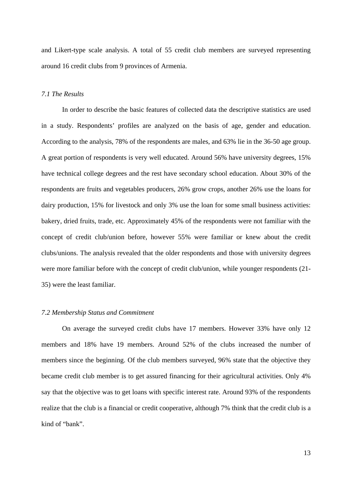and Likert-type scale analysis. A total of 55 credit club members are surveyed representing around 16 credit clubs from 9 provinces of Armenia.

## *7.1 The Results*

In order to describe the basic features of collected data the descriptive statistics are used in a study. Respondents' profiles are analyzed on the basis of age, gender and education. According to the analysis, 78% of the respondents are males, and 63% lie in the 36-50 age group. A great portion of respondents is very well educated. Around 56% have university degrees, 15% have technical college degrees and the rest have secondary school education. About 30% of the respondents are fruits and vegetables producers, 26% grow crops, another 26% use the loans for dairy production, 15% for livestock and only 3% use the loan for some small business activities: bakery, dried fruits, trade, etc. Approximately 45% of the respondents were not familiar with the concept of credit club/union before, however 55% were familiar or knew about the credit clubs/unions. The analysis revealed that the older respondents and those with university degrees were more familiar before with the concept of credit club/union, while younger respondents (21- 35) were the least familiar.

#### *7.2 Membership Status and Commitment*

On average the surveyed credit clubs have 17 members. However 33% have only 12 members and 18% have 19 members. Around 52% of the clubs increased the number of members since the beginning. Of the club members surveyed, 96% state that the objective they became credit club member is to get assured financing for their agricultural activities. Only 4% say that the objective was to get loans with specific interest rate. Around 93% of the respondents realize that the club is a financial or credit cooperative, although 7% think that the credit club is a kind of "bank".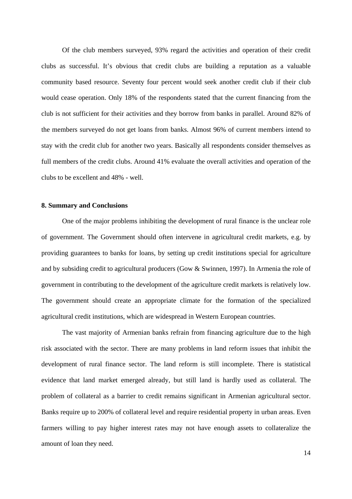Of the club members surveyed, 93% regard the activities and operation of their credit clubs as successful. It's obvious that credit clubs are building a reputation as a valuable community based resource. Seventy four percent would seek another credit club if their club would cease operation. Only 18% of the respondents stated that the current financing from the club is not sufficient for their activities and they borrow from banks in parallel. Around 82% of the members surveyed do not get loans from banks. Almost 96% of current members intend to stay with the credit club for another two years. Basically all respondents consider themselves as full members of the credit clubs. Around 41% evaluate the overall activities and operation of the clubs to be excellent and 48% - well.

## **8. Summary and Conclusions**

One of the major problems inhibiting the development of rural finance is the unclear role of government. The Government should often intervene in agricultural credit markets, e.g. by providing guarantees to banks for loans, by setting up credit institutions special for agriculture and by subsiding credit to agricultural producers (Gow & Swinnen, 1997). In Armenia the role of government in contributing to the development of the agriculture credit markets is relatively low. The government should create an appropriate climate for the formation of the specialized agricultural credit institutions, which are widespread in Western European countries.

The vast majority of Armenian banks refrain from financing agriculture due to the high risk associated with the sector. There are many problems in land reform issues that inhibit the development of rural finance sector. The land reform is still incomplete. There is statistical evidence that land market emerged already, but still land is hardly used as collateral. The problem of collateral as a barrier to credit remains significant in Armenian agricultural sector. Banks require up to 200% of collateral level and require residential property in urban areas. Even farmers willing to pay higher interest rates may not have enough assets to collateralize the amount of loan they need.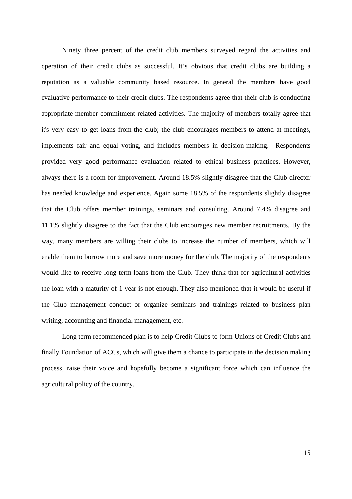Ninety three percent of the credit club members surveyed regard the activities and operation of their credit clubs as successful. It's obvious that credit clubs are building a reputation as a valuable community based resource. In general the members have good evaluative performance to their credit clubs. The respondents agree that their club is conducting appropriate member commitment related activities. The majority of members totally agree that it's very easy to get loans from the club; the club encourages members to attend at meetings, implements fair and equal voting, and includes members in decision-making. Respondents provided very good performance evaluation related to ethical business practices. However, always there is a room for improvement. Around 18.5% slightly disagree that the Club director has needed knowledge and experience. Again some 18.5% of the respondents slightly disagree that the Club offers member trainings, seminars and consulting. Around 7.4% disagree and 11.1% slightly disagree to the fact that the Club encourages new member recruitments. By the way, many members are willing their clubs to increase the number of members, which will enable them to borrow more and save more money for the club. The majority of the respondents would like to receive long-term loans from the Club. They think that for agricultural activities the loan with a maturity of 1 year is not enough. They also mentioned that it would be useful if the Club management conduct or organize seminars and trainings related to business plan writing, accounting and financial management, etc.

Long term recommended plan is to help Credit Clubs to form Unions of Credit Clubs and finally Foundation of ACCs, which will give them a chance to participate in the decision making process, raise their voice and hopefully become a significant force which can influence the agricultural policy of the country.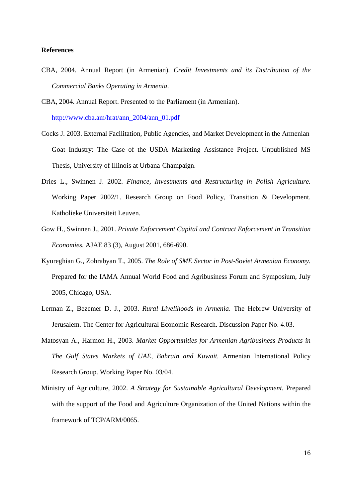## **References**

CBA, 2004. Annual Report (in Armenian). *Credit Investments and its Distribution of the Commercial Banks Operating in Armenia*.

CBA, 2004. Annual Report. Presented to the Parliament (in Armenian).

http://www.cba.am/hrat/ann\_2004/ann\_01.pdf

- Cocks J. 2003. External Facilitation, Public Agencies, and Market Development in the Armenian Goat Industry: The Case of the USDA Marketing Assistance Project. Unpublished MS Thesis, University of Illinois at Urbana-Champaign.
- Dries L., Swinnen J. 2002. *Finance, Investments and Restructuring in Polish Agriculture.* Working Paper 2002/1. Research Group on Food Policy, Transition & Development. Katholieke Universiteit Leuven.
- Gow H., Swinnen J., 2001. *Private Enforcement Capital and Contract Enforcement in Transition Economies.* AJAE 83 (3), August 2001, 686-690.
- Kyureghian G., Zohrabyan T., 2005. *The Role of SME Sector in Post-Soviet Armenian Economy.*  Prepared for the IAMA Annual World Food and Agribusiness Forum and Symposium, July 2005, Chicago, USA.
- Lerman Z., Bezemer D. J., 2003. *Rural Livelihoods in Armenia*. The Hebrew University of Jerusalem. The Center for Agricultural Economic Research. Discussion Paper No. 4.03.
- Matosyan A., Harmon H., 2003. *Market Opportunities for Armenian Agribusiness Products in The Gulf States Markets of UAE, Bahrain and Kuwait.* Armenian International Policy Research Group. Working Paper No. 03/04.
- Ministry of Agriculture, 2002. *A Strategy for Sustainable Agricultural Development*. Prepared with the support of the Food and Agriculture Organization of the United Nations within the framework of TCP/ARM/0065.